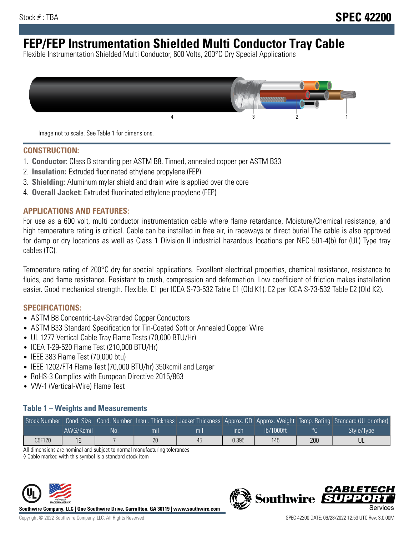# **FEP/FEP Instrumentation Shielded Multi Conductor Tray Cable**

Flexible Instrumentation Shielded Multi Conductor, 600 Volts, 200°C Dry Special Applications



Image not to scale. See Table 1 for dimensions.

#### **CONSTRUCTION:**

- 1. **Conductor:** Class B stranding per ASTM B8. Tinned, annealed copper per ASTM B33
- 2. **Insulation:** Extruded fluorinated ethylene propylene (FEP)
- 3. **Shielding:** Aluminum mylar shield and drain wire is applied over the core
- 4. **Overall Jacket:** Extruded fluorinated ethylene propylene (FEP)

#### **APPLICATIONS AND FEATURES:**

For use as a 600 volt, multi conductor instrumentation cable where flame retardance, Moisture/Chemical resistance, and high temperature rating is critical. Cable can be installed in free air, in raceways or direct burial.The cable is also approved for damp or dry locations as well as Class 1 Division II industrial hazardous locations per NEC 501-4(b) for (UL) Type tray cables (TC).

Temperature rating of 200°C dry for special applications. Excellent electrical properties, chemical resistance, resistance to fluids, and flame resistance. Resistant to crush, compression and deformation. Low coefficient of friction makes installation easier. Good mechanical strength. Flexible. E1 per ICEA S-73-532 Table E1 (Old K1). E2 per ICEA S-73-532 Table E2 (Old K2).

#### **SPECIFICATIONS:**

- ASTM B8 Concentric-Lay-Stranded Copper Conductors
- ASTM B33 Standard Specification for Tin-Coated Soft or Annealed Copper Wire
- UL 1277 Vertical Cable Tray Flame Tests (70,000 BTU/Hr)
- ICEA T-29-520 Flame Test (210,000 BTU/Hr)
- IEEE 383 Flame Test (70,000 btu)
- IEEE 1202/FT4 Flame Test (70,000 BTU/hr) 350kcmil and Larger
- RoHS-3 Complies with European Directive 2015/863
- VW-1 (Vertical-Wire) Flame Test

### **Table 1 – Weights and Measurements**

|        |           |     |     |     |       |           |     | Stock Number Cond. Size Cond. Number Insul. Thickness Jacket Thickness Approx. OD Approx. Weight Temp. Rating Standard (UL or other) |
|--------|-----------|-----|-----|-----|-------|-----------|-----|--------------------------------------------------------------------------------------------------------------------------------------|
|        | AWG/Kcmil | :No | mil | mıl | inch  | Ib/1000ft |     | Style/Type                                                                                                                           |
| C5F120 | 16        |     | 20  | 45  | 0.395 | 145       | 200 |                                                                                                                                      |

All dimensions are nominal and subject to normal manufacturing tolerances

◊ Cable marked with this symbol is a standard stock item



**Southwire Company, LLC | One Southwire Drive, Carrollton, GA 30119 | www.southwire.com**